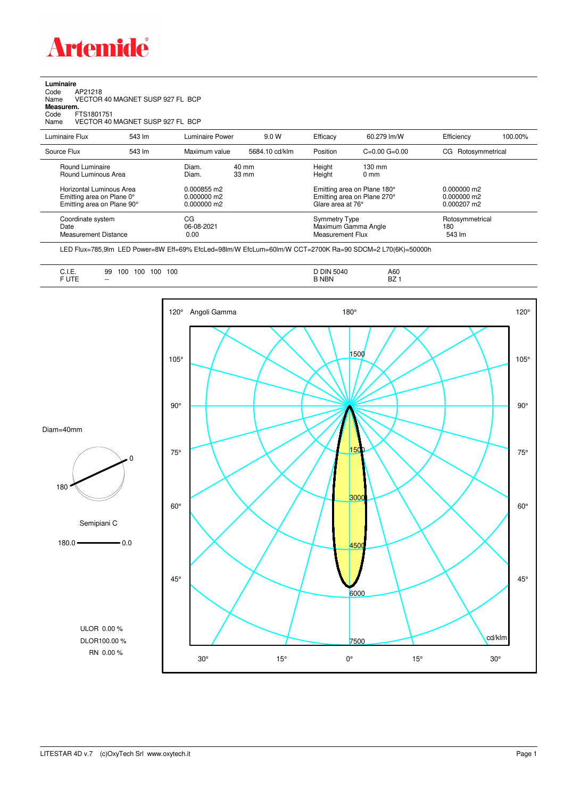

## **Luminaire**<br>Code /<br>Name \ Code AP21218 Name VECTOR 40 MAGNET SUSP 927 FL BCP **Measurem.** Code FTS1801751 Name VECTOR 40 MAGNET SUSP 927 FL BCP

| Luminaire Flux                                                                      | 543 lm | Luminaire Power                               | 9.0 W                    | Efficacy                                 | 60.279 lm/W                                                                     | Efficiency                       | 100.00% |
|-------------------------------------------------------------------------------------|--------|-----------------------------------------------|--------------------------|------------------------------------------|---------------------------------------------------------------------------------|----------------------------------|---------|
| Source Flux                                                                         | 543 lm | Maximum value                                 | 5684.10 cd/klm           | Position                                 | $C=0.00$ $G=0.00$                                                               | CG Rotosymmetrical               |         |
| Round Luminaire<br>Round Luminous Area                                              |        | Diam.<br>Diam.                                | 40 mm<br>$33 \text{ mm}$ | Height<br>Height                         | $130 \text{ mm}$<br>$0 \text{ mm}$                                              |                                  |         |
| Horizontal Luminous Area<br>Emitting area on Plane 0°<br>Emitting area on Plane 90° |        | 0.000855 m2<br>$0.000000$ m2<br>$0.000000$ m2 |                          |                                          | Emitting area on Plane 180°<br>Emitting area on Plane 270°<br>Glare area at 76° |                                  |         |
| Coordinate system<br>Date<br>Measurement Distance                                   |        | CG<br>06-08-2021<br>0.00                      |                          | <b>Symmetry Type</b><br>Measurement Flux | Maximum Gamma Angle                                                             | Rotosymmetrical<br>180<br>543 lm |         |

LED Flux=785,9lm LED Power=8W Eff=69% EfcLed=98lm/W EfcLum=60lm/W CCT=2700K Ra=90 SDCM=2 L70(6K)=50000h